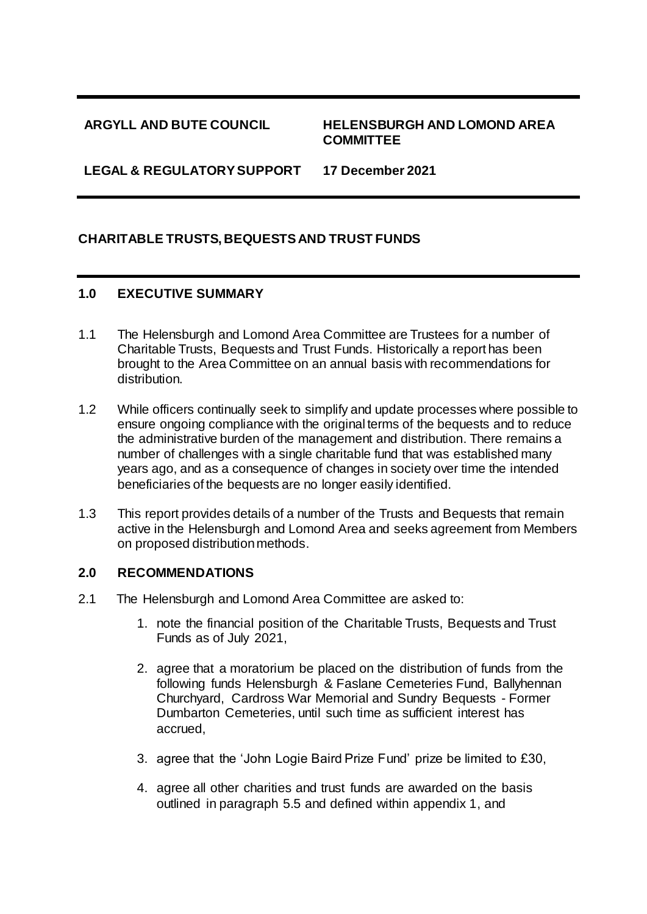## **ARGYLL AND BUTE COUNCIL HELENSBURGH AND LOMOND AREA COMMITTEE**

**LEGAL & REGULATORY SUPPORT 17 December 2021**

# **CHARITABLE TRUSTS, BEQUESTS AND TRUST FUNDS**

## **1.0 EXECUTIVE SUMMARY**

- 1.1 The Helensburgh and Lomond Area Committee are Trustees for a number of Charitable Trusts, Bequests and Trust Funds. Historically a report has been brought to the Area Committee on an annual basis with recommendations for distribution.
- 1.2 While officers continually seek to simplify and update processes where possible to ensure ongoing compliance with the original terms of the bequests and to reduce the administrative burden of the management and distribution. There remains a number of challenges with a single charitable fund that was established many years ago, and as a consequence of changes in society over time the intended beneficiaries of the bequests are no longer easily identified.
- 1.3 This report provides details of a number of the Trusts and Bequests that remain active in the Helensburgh and Lomond Area and seeks agreement from Members on proposed distribution methods.

#### **2.0 RECOMMENDATIONS**

- 2.1 The Helensburgh and Lomond Area Committee are asked to:
	- 1. note the financial position of the Charitable Trusts, Bequests and Trust Funds as of July 2021,
	- 2. agree that a moratorium be placed on the distribution of funds from the following funds Helensburgh & Faslane Cemeteries Fund, Ballyhennan Churchyard, Cardross War Memorial and Sundry Bequests - Former Dumbarton Cemeteries, until such time as sufficient interest has accrued,
	- 3. agree that the 'John Logie Baird Prize Fund' prize be limited to £30,
	- 4. agree all other charities and trust funds are awarded on the basis outlined in paragraph 5.5 and defined within appendix 1, and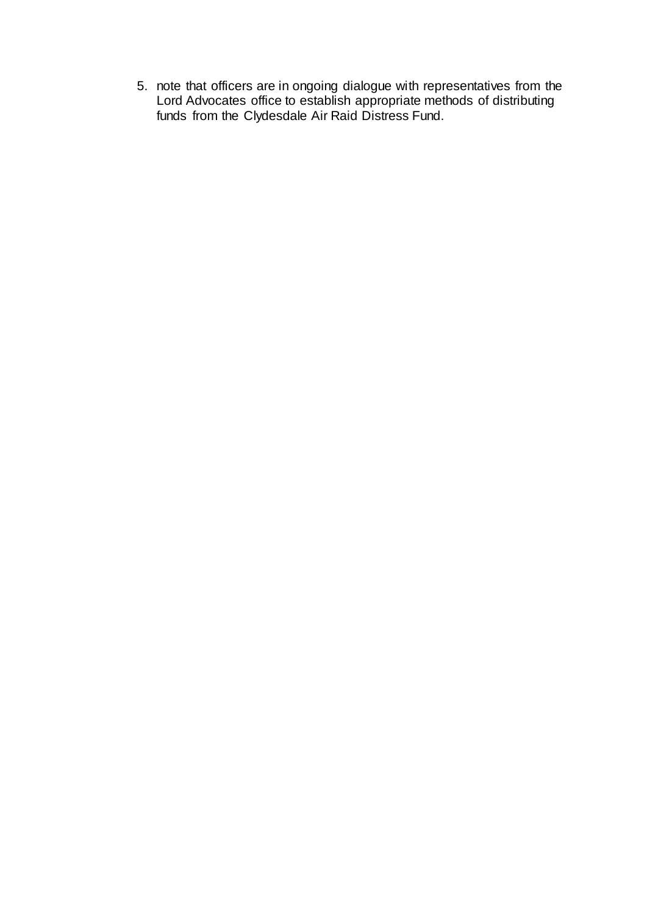5. note that officers are in ongoing dialogue with representatives from the Lord Advocates office to establish appropriate methods of distributing funds from the Clydesdale Air Raid Distress Fund.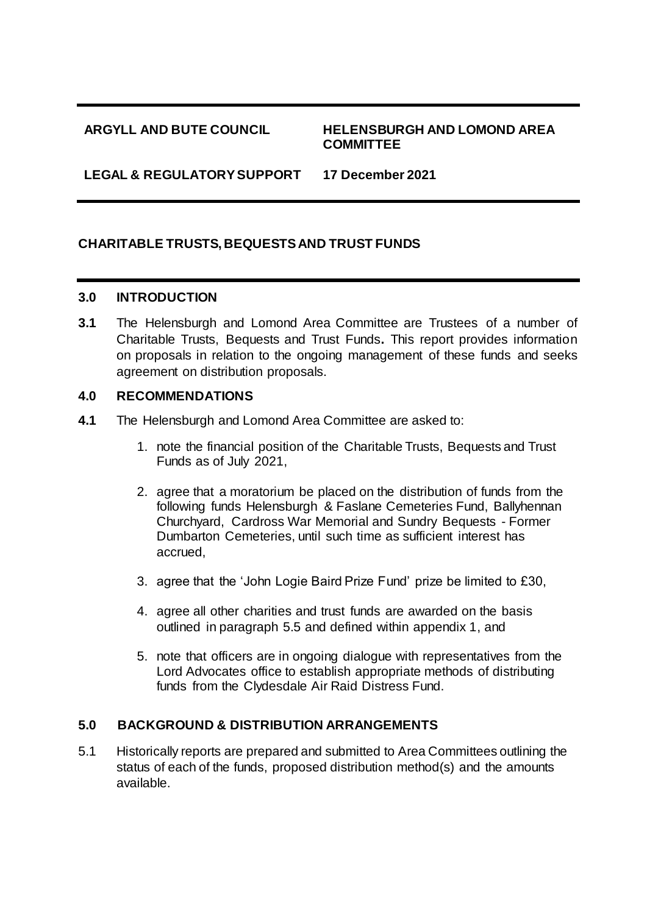**ARGYLL AND BUTE COUNCIL HELENSBURGH AND LOMOND AREA COMMITTEE**

**LEGAL & REGULATORY SUPPORT 17 December 2021**

## **CHARITABLE TRUSTS, BEQUESTS AND TRUST FUNDS**

### **3.0 INTRODUCTION**

**3.1** The Helensburgh and Lomond Area Committee are Trustees of a number of Charitable Trusts, Bequests and Trust Funds**.** This report provides information on proposals in relation to the ongoing management of these funds and seeks agreement on distribution proposals.

### **4.0 RECOMMENDATIONS**

- **4.1** The Helensburgh and Lomond Area Committee are asked to:
	- 1. note the financial position of the Charitable Trusts, Bequests and Trust Funds as of July 2021,
	- 2. agree that a moratorium be placed on the distribution of funds from the following funds Helensburgh & Faslane Cemeteries Fund, Ballyhennan Churchyard, Cardross War Memorial and Sundry Bequests - Former Dumbarton Cemeteries, until such time as sufficient interest has accrued,
	- 3. agree that the 'John Logie Baird Prize Fund' prize be limited to £30,
	- 4. agree all other charities and trust funds are awarded on the basis outlined in paragraph 5.5 and defined within appendix 1, and
	- 5. note that officers are in ongoing dialogue with representatives from the Lord Advocates office to establish appropriate methods of distributing funds from the Clydesdale Air Raid Distress Fund.

## **5.0 BACKGROUND & DISTRIBUTION ARRANGEMENTS**

5.1 Historically reports are prepared and submitted to Area Committees outlining the status of each of the funds, proposed distribution method(s) and the amounts available.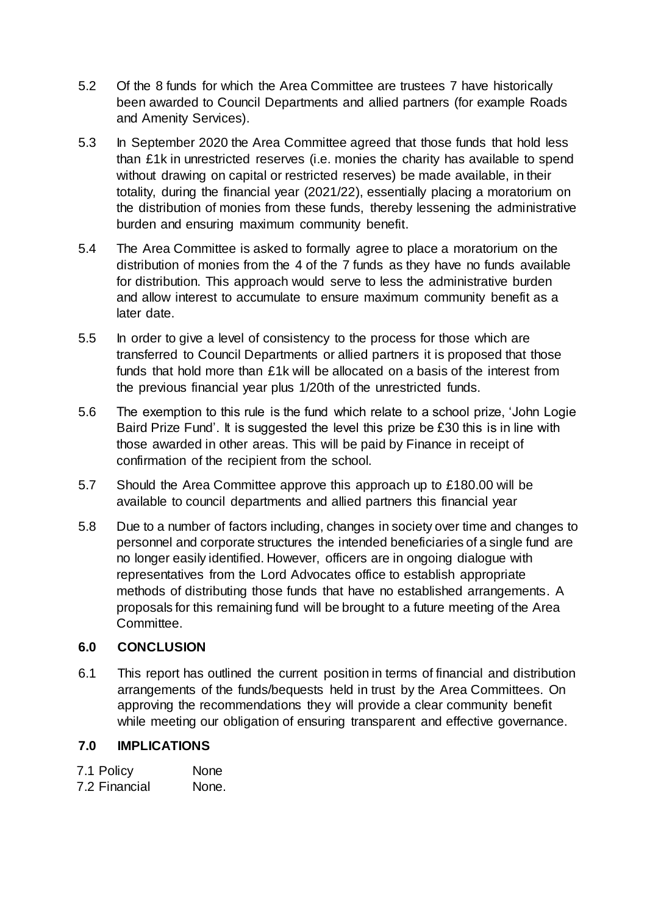- 5.2 Of the 8 funds for which the Area Committee are trustees 7 have historically been awarded to Council Departments and allied partners (for example Roads and Amenity Services).
- 5.3 In September 2020 the Area Committee agreed that those funds that hold less than £1k in unrestricted reserves (i.e. monies the charity has available to spend without drawing on capital or restricted reserves) be made available, in their totality, during the financial year (2021/22), essentially placing a moratorium on the distribution of monies from these funds, thereby lessening the administrative burden and ensuring maximum community benefit.
- 5.4 The Area Committee is asked to formally agree to place a moratorium on the distribution of monies from the 4 of the 7 funds as they have no funds available for distribution. This approach would serve to less the administrative burden and allow interest to accumulate to ensure maximum community benefit as a later date.
- 5.5 In order to give a level of consistency to the process for those which are transferred to Council Departments or allied partners it is proposed that those funds that hold more than £1k will be allocated on a basis of the interest from the previous financial year plus 1/20th of the unrestricted funds.
- 5.6 The exemption to this rule is the fund which relate to a school prize, 'John Logie Baird Prize Fund'. It is suggested the level this prize be £30 this is in line with those awarded in other areas. This will be paid by Finance in receipt of confirmation of the recipient from the school.
- 5.7 Should the Area Committee approve this approach up to £180.00 will be available to council departments and allied partners this financial year
- 5.8 Due to a number of factors including, changes in society over time and changes to personnel and corporate structures the intended beneficiaries of a single fund are no longer easily identified. However, officers are in ongoing dialogue with representatives from the Lord Advocates office to establish appropriate methods of distributing those funds that have no established arrangements. A proposals for this remaining fund will be brought to a future meeting of the Area Committee.

# **6.0 CONCLUSION**

6.1 This report has outlined the current position in terms of financial and distribution arrangements of the funds/bequests held in trust by the Area Committees. On approving the recommendations they will provide a clear community benefit while meeting our obligation of ensuring transparent and effective governance.

# **7.0 IMPLICATIONS**

| 7.1 Policy    | None  |
|---------------|-------|
| 7.2 Financial | None. |